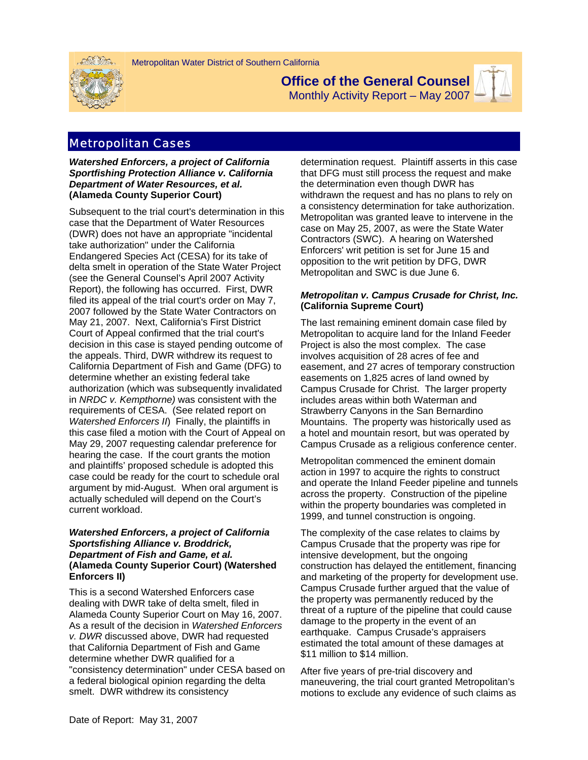



# **Office of the General Counsel**

Monthly Activity Report – May 2007



### Metropolitan Cases

*Watershed Enforcers, a project of California Sportfishing Protection Alliance v. California Department of Water Resources, et al.* **(Alameda County Superior Court)** 

Subsequent to the trial court's determination in this case that the Department of Water Resources (DWR) does not have an appropriate "incidental take authorization" under the California Endangered Species Act (CESA) for its take of delta smelt in operation of the State Water Project (see the General Counsel's April 2007 Activity Report), the following has occurred. First, DWR filed its appeal of the trial court's order on May 7, 2007 followed by the State Water Contractors on May 21, 2007. Next, California's First District Court of Appeal confirmed that the trial court's decision in this case is stayed pending outcome of the appeals. Third, DWR withdrew its request to California Department of Fish and Game (DFG) to determine whether an existing federal take authorization (which was subsequently invalidated in *NRDC v. Kempthorne)* was consistent with the requirements of CESA. (See related report on *Watershed Enforcers II*) Finally, the plaintiffs in this case filed a motion with the Court of Appeal on May 29, 2007 requesting calendar preference for hearing the case. If the court grants the motion and plaintiffs' proposed schedule is adopted this case could be ready for the court to schedule oral argument by mid-August. When oral argument is actually scheduled will depend on the Court's current workload.

#### *Watershed Enforcers, a project of California Sportsfishing Alliance v. Broddrick, Department of Fish and Game, et al.*  **(Alameda County Superior Court) (Watershed Enforcers II)**

This is a second Watershed Enforcers case dealing with DWR take of delta smelt, filed in Alameda County Superior Court on May 16, 2007. As a result of the decision in *Watershed Enforcers v. DWR* discussed above, DWR had requested that California Department of Fish and Game determine whether DWR qualified for a "consistency determination" under CESA based on a federal biological opinion regarding the delta smelt. DWR withdrew its consistency

determination request. Plaintiff asserts in this case that DFG must still process the request and make the determination even though DWR has withdrawn the request and has no plans to rely on a consistency determination for take authorization. Metropolitan was granted leave to intervene in the case on May 25, 2007, as were the State Water Contractors (SWC). A hearing on Watershed Enforcers' writ petition is set for June 15 and opposition to the writ petition by DFG, DWR Metropolitan and SWC is due June 6.

#### *Metropolitan v. Campus Crusade for Christ, Inc.*  **(California Supreme Court)**

The last remaining eminent domain case filed by Metropolitan to acquire land for the Inland Feeder Project is also the most complex. The case involves acquisition of 28 acres of fee and easement, and 27 acres of temporary construction easements on 1,825 acres of land owned by Campus Crusade for Christ. The larger property includes areas within both Waterman and Strawberry Canyons in the San Bernardino Mountains. The property was historically used as a hotel and mountain resort, but was operated by Campus Crusade as a religious conference center.

Metropolitan commenced the eminent domain action in 1997 to acquire the rights to construct and operate the Inland Feeder pipeline and tunnels across the property. Construction of the pipeline within the property boundaries was completed in 1999, and tunnel construction is ongoing.

The complexity of the case relates to claims by Campus Crusade that the property was ripe for intensive development, but the ongoing construction has delayed the entitlement, financing and marketing of the property for development use. Campus Crusade further argued that the value of the property was permanently reduced by the threat of a rupture of the pipeline that could cause damage to the property in the event of an earthquake. Campus Crusade's appraisers estimated the total amount of these damages at \$11 million to \$14 million.

After five years of pre-trial discovery and maneuvering, the trial court granted Metropolitan's motions to exclude any evidence of such claims as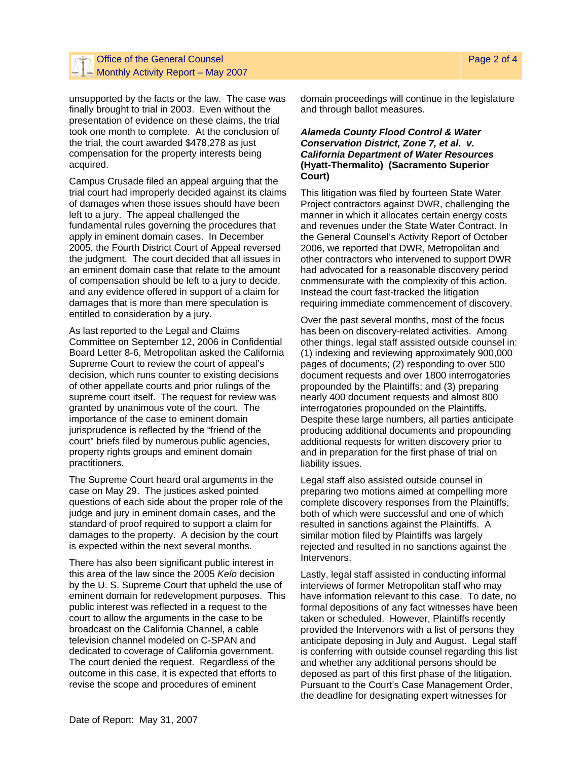#### Office of the General Counsel **Page 2 of 4** of the General Counsel Page 2 of 4  $-$  Monthly Activity Report – May 2007

unsupported by the facts or the law. The case was finally brought to trial in 2003. Even without the presentation of evidence on these claims, the trial took one month to complete. At the conclusion of the trial, the court awarded \$478,278 as just compensation for the property interests being acquired.

Campus Crusade filed an appeal arguing that the trial court had improperly decided against its claims of damages when those issues should have been left to a jury. The appeal challenged the fundamental rules governing the procedures that apply in eminent domain cases. In December 2005, the Fourth District Court of Appeal reversed the judgment. The court decided that all issues in an eminent domain case that relate to the amount of compensation should be left to a jury to decide, and any evidence offered in support of a claim for damages that is more than mere speculation is entitled to consideration by a jury.

As last reported to the Legal and Claims Committee on September 12, 2006 in Confidential Board Letter 8-6, Metropolitan asked the California Supreme Court to review the court of appeal's decision, which runs counter to existing decisions of other appellate courts and prior rulings of the supreme court itself. The request for review was granted by unanimous vote of the court. The importance of the case to eminent domain jurisprudence is reflected by the "friend of the court" briefs filed by numerous public agencies, property rights groups and eminent domain practitioners.

The Supreme Court heard oral arguments in the case on May 29. The justices asked pointed questions of each side about the proper role of the judge and jury in eminent domain cases, and the standard of proof required to support a claim for damages to the property. A decision by the court is expected within the next several months.

There has also been significant public interest in this area of the law since the 2005 *Kelo* decision by the U. S. Supreme Court that upheld the use of eminent domain for redevelopment purposes. This public interest was reflected in a request to the court to allow the arguments in the case to be broadcast on the California Channel, a cable television channel modeled on C-SPAN and dedicated to coverage of California government. The court denied the request. Regardless of the outcome in this case, it is expected that efforts to revise the scope and procedures of eminent

domain proceedings will continue in the legislature and through ballot measures.

#### *Alameda County Flood Control & Water Conservation District, Zone 7, et al. v. California Department of Water Resources*  **(Hyatt-Thermalito) (Sacramento Superior Court)**

This litigation was filed by fourteen State Water Project contractors against DWR, challenging the manner in which it allocates certain energy costs and revenues under the State Water Contract. In the General Counsel's Activity Report of October 2006, we reported that DWR, Metropolitan and other contractors who intervened to support DWR had advocated for a reasonable discovery period commensurate with the complexity of this action. Instead the court fast-tracked the litigation requiring immediate commencement of discovery.

Over the past several months, most of the focus has been on discovery-related activities. Among other things, legal staff assisted outside counsel in: (1) indexing and reviewing approximately 900,000 pages of documents; (2) responding to over 500 document requests and over 1800 interrogatories propounded by the Plaintiffs; and (3) preparing nearly 400 document requests and almost 800 interrogatories propounded on the Plaintiffs. Despite these large numbers, all parties anticipate producing additional documents and propounding additional requests for written discovery prior to and in preparation for the first phase of trial on liability issues.

Legal staff also assisted outside counsel in preparing two motions aimed at compelling more complete discovery responses from the Plaintiffs, both of which were successful and one of which resulted in sanctions against the Plaintiffs. A similar motion filed by Plaintiffs was largely rejected and resulted in no sanctions against the Intervenors.

Lastly, legal staff assisted in conducting informal interviews of former Metropolitan staff who may have information relevant to this case. To date, no formal depositions of any fact witnesses have been taken or scheduled. However, Plaintiffs recently provided the Intervenors with a list of persons they anticipate deposing in July and August. Legal staff is conferring with outside counsel regarding this list and whether any additional persons should be deposed as part of this first phase of the litigation. Pursuant to the Court's Case Management Order, the deadline for designating expert witnesses for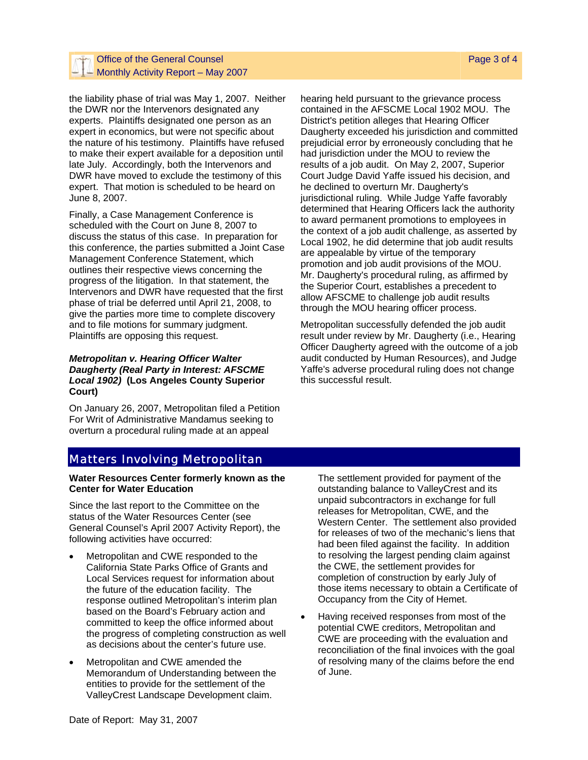#### Office of the General Counsel **Page 3 of 4** of the General Counsel Page 3 of 4  $-$  Monthly Activity Report – May 2007

the liability phase of trial was May 1, 2007. Neither the DWR nor the Intervenors designated any experts. Plaintiffs designated one person as an expert in economics, but were not specific about the nature of his testimony. Plaintiffs have refused to make their expert available for a deposition until late July. Accordingly, both the Intervenors and DWR have moved to exclude the testimony of this expert. That motion is scheduled to be heard on June 8, 2007.

Finally, a Case Management Conference is scheduled with the Court on June 8, 2007 to discuss the status of this case. In preparation for this conference, the parties submitted a Joint Case Management Conference Statement, which outlines their respective views concerning the progress of the litigation. In that statement, the Intervenors and DWR have requested that the first phase of trial be deferred until April 21, 2008, to give the parties more time to complete discovery and to file motions for summary judgment. Plaintiffs are opposing this request.

#### *Metropolitan v. Hearing Officer Walter Daugherty (Real Party in Interest: AFSCME Local 1902)* **(Los Angeles County Superior Court)**

On January 26, 2007, Metropolitan filed a Petition For Writ of Administrative Mandamus seeking to overturn a procedural ruling made at an appeal

hearing held pursuant to the grievance process contained in the AFSCME Local 1902 MOU. The District's petition alleges that Hearing Officer Daugherty exceeded his jurisdiction and committed prejudicial error by erroneously concluding that he had jurisdiction under the MOU to review the results of a job audit. On May 2, 2007, Superior Court Judge David Yaffe issued his decision, and he declined to overturn Mr. Daugherty's jurisdictional ruling. While Judge Yaffe favorably determined that Hearing Officers lack the authority to award permanent promotions to employees in the context of a job audit challenge, as asserted by Local 1902, he did determine that job audit results are appealable by virtue of the temporary promotion and job audit provisions of the MOU. Mr. Daugherty's procedural ruling, as affirmed by the Superior Court, establishes a precedent to allow AFSCME to challenge job audit results through the MOU hearing officer process.

Metropolitan successfully defended the job audit result under review by Mr. Daugherty (i.e., Hearing Officer Daugherty agreed with the outcome of a job audit conducted by Human Resources), and Judge Yaffe's adverse procedural ruling does not change this successful result.

### Matters Involving Metropolitan

#### **Water Resources Center formerly known as the Center for Water Education**

Since the last report to the Committee on the status of the Water Resources Center (see General Counsel's April 2007 Activity Report), the following activities have occurred:

- Metropolitan and CWE responded to the California State Parks Office of Grants and Local Services request for information about the future of the education facility. The response outlined Metropolitan's interim plan based on the Board's February action and committed to keep the office informed about the progress of completing construction as well as decisions about the center's future use.
- Metropolitan and CWE amended the Memorandum of Understanding between the entities to provide for the settlement of the ValleyCrest Landscape Development claim.

The settlement provided for payment of the outstanding balance to ValleyCrest and its unpaid subcontractors in exchange for full releases for Metropolitan, CWE, and the Western Center. The settlement also provided for releases of two of the mechanic's liens that had been filed against the facility. In addition to resolving the largest pending claim against the CWE, the settlement provides for completion of construction by early July of those items necessary to obtain a Certificate of Occupancy from the City of Hemet.

• Having received responses from most of the potential CWE creditors, Metropolitan and CWE are proceeding with the evaluation and reconciliation of the final invoices with the goal of resolving many of the claims before the end of June.